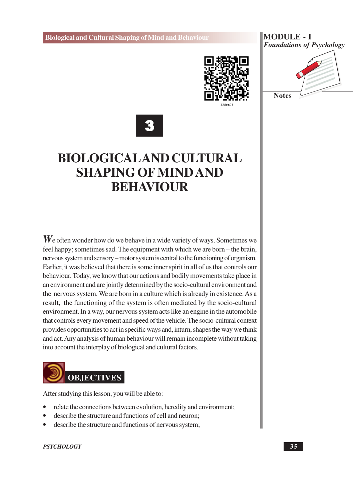

#### **MODULE - I Foundations of Psychology**





## **BIOLOGICALAND CULTURAL SHAPING OF MIND AND BEHAVIOUR**

 $W_e$  often wonder how do we behave in a wide variety of ways. Sometimes we feel happy; sometimes sad. The equipment with which we are born – the brain, nervous system and sensory – motor system is central to the functioning of organism. Earlier, it was believed that there is some inner spirit in all of us that controls our behaviour. Today, we know that our actions and bodily movements take place in an environment and are jointly determined by the socio-cultural environment and the nervous system. We are born in a culture which is already in existence. As a result, the functioning of the system is often mediated by the socio-cultural environment. In a way, our nervous system acts like an engine in the automobile that controls every movement and speed of the vehicle. The socio-cultural context provides opportunities to act in specific ways and, inturn, shapes the way we think and act. Any analysis of human behaviour will remain incomplete without taking into account the interplay of biological and cultural factors.



After studying this lesson, you will be able to:

- relate the connections between evolution, heredity and environment;
- describe the structure and functions of cell and neuron:
- describe the structure and functions of nervous system;

#### **PSYCHOLOGY**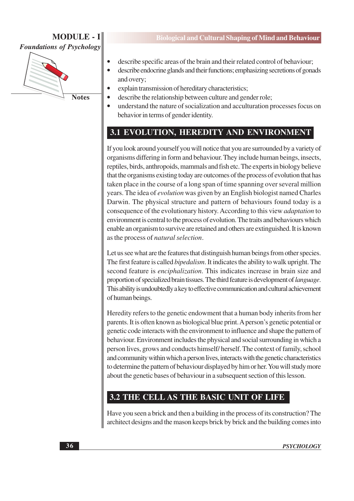$\bullet$ 



- describe specific areas of the brain and their related control of behaviour;
- $\bullet$ describe endocrine glands and their functions; emphasizing secretions of gonads and overy;
- explain transmission of hereditary characteristics;
- describe the relationship between culture and gender role;
- understand the nature of socialization and acculturation processes focus on behavior in terms of gender identity.

## 3.1 EVOLUTION, HEREDITY AND ENVIRONMENT

If you look around yourself you will notice that you are surrounded by a variety of organisms differing in form and behaviour. They include human beings, insects, reptiles, birds, anthropoids, mammals and fish etc. The experts in biology believe that the organisms existing today are outcomes of the process of evolution that has taken place in the course of a long span of time spanning over several million years. The idea of *evolution* was given by an English biologist named Charles Darwin. The physical structure and pattern of behaviours found today is a consequence of the evolutionary history. According to this view *adaptation* to environment is central to the process of evolution. The traits and behaviours which enable an organism to survive are retained and others are extinguished. It is known as the process of natural selection.

Let us see what are the features that distinguish human beings from other species. The first feature is called *bipedalism*. It indicates the ability to walk upright. The second feature is *enciphalization*. This indicates increase in brain size and proportion of specialized brain tissues. The third feature is development of *language*. This ability is undoubtedly a key to effective communication and cultural achievement of human beings.

Heredity refers to the genetic endowment that a human body inherits from her parents. It is often known as biological blue print. A person's genetic potential or genetic code interacts with the environment to influence and shape the pattern of behaviour. Environment includes the physical and social surrounding in which a person lives, grows and conducts himself/herself. The context of family, school and community within which a person lives, interacts with the genetic characteristics to determine the pattern of behaviour displayed by him or her. You will study more about the genetic bases of behaviour in a subsequent section of this lesson.

## 3.2 THE CELL AS THE BASIC UNIT OF LIFE

Have you seen a brick and then a building in the process of its construction? The architect designs and the mason keeps brick by brick and the building comes into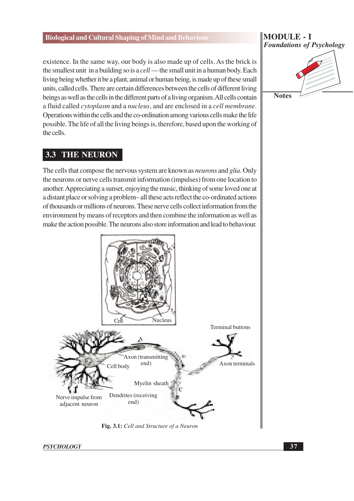existence. In the same way, our body is also made up of cells. As the brick is the smallest unit in a building so is a *cell* — the small unit in a human body. Each living being whether it be a plant, animal or human being, is made up of these small units, called cells. There are certain differences between the cells of different living beings as well as the cells in the different parts of a living organism. All cells contain a fluid called *cytoplasm* and a *nucleus*, and are enclosed in a *cell membrane*. Operations within the cells and the co-ordination among various cells make the life possible. The life of all the living beings is, therefore, based upon the working of the cells.

#### **THE NEURON**  $3.3$

The cells that compose the nervous system are known as *neurons* and *glia*. Only the neurons or nerve cells transmit information (impulses) from one location to another. Appreciating a sunset, enjoying the music, thinking of some loved one at a distant place or solving a problem–all these acts reflect the co-ordinated actions of thousands or millions of neurons. These nerve cells collect information from the environment by means of receptors and then combine the information as well as make the action possible. The neurons also store information and lead to behaviour.



Fig. 3.1: Cell and Structure of a Neuron

**PSYCHOLOGY** 

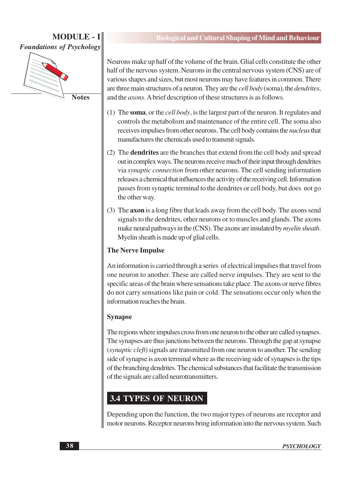

**Biological and Cultural Shaping of Mind and Behaviour** 

Neurons make up half of the volume of the brain. Glial cells constitute the other half of the nervous system. Neurons in the central nervous system (CNS) are of various shapes and sizes, but most neurons may have features in common. There are three main structures of a neuron. They are the *cell body* (soma), the *dendrites*, and the *axons*. A brief description of these structures is as follows.

- (1) The soma, or the *cell body*, is the largest part of the neuron. It regulates and controls the metabolism and maintenance of the entire cell. The soma also receives impulses from other neurons. The cell body contains the *nucleus* that manufactures the chemicals used to transmit signals.
- (2) The **dendrites** are the branches that extend from the cell body and spread out in complex ways. The neurons receive much of their input through dendrites via synaptic connection from other neurons. The cell sending information releases a chemical that influences the activity of the receiving cell. Information passes from synaptic terminal to the dendrites or cell body, but does not go the other way.
- (3) The **axon** is a long fibre that leads away from the cell body. The axons send signals to the dendrites, other neurons or to muscles and glands. The axons make neural pathways in the (CNS). The axons are insulated by *myelin sheath*. Myelin sheath is made up of glial cells.

### **The Nerve Impulse**

An information is carried through a series of electrical impulses that travel from one neuron to another. These are called nerve impulses. They are sent to the specific areas of the brain where sensations take place. The axons or nerve fibres do not carry sensations like pain or cold. The sensations occur only when the information reaches the brain.

#### **Synapse**

The regions where impulses cross from one neuron to the other are called synapses. The synapses are thus junctions between the neurons. Through the gap at synapse (synaptic cleft) signals are transmitted from one neuron to another. The sending side of synapse is axon terminal where as the receiving side of synapses is the tips of the branching dendrites. The chemical substances that facilitate the transmission of the signals are called neurotransmitters.

## **3.4 TYPES OF NEURON**

Depending upon the function, the two major types of neurons are receptor and motor neurons. Receptor neurons bring information into the nervous system. Such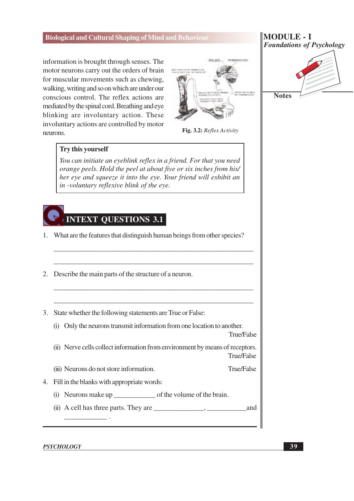information is brought through senses. The motor neurons carry out the orders of brain for muscular movements such as chewing, walking, writing and so on which are under our conscious control. The reflex actions are mediated by the spinal cord. Breathing and eye blinking are involuntary action. These involuntary actions are controlled by motor neurons.



**MODULE - I Foundations of Psychology** 



Fig. 3.2: Reflex Activity

#### Try this yourself

You can initiate an eyeblink reflex in a friend. For that you need orange peels. Hold the peel at about five or six inches from his/ her eye and squeeze it into the eye. Your friend will exhibit an in -voluntary reflexive blink of the eye.



- 1. What are the features that distinguish human beings from other species?
- 2. Describe the main parts of the structure of a neuron.
- 3. State whether the following statements are True or False:
	- (i) Only the neurons transmit information from one location to another.

True/False

(ii) Nerve cells collect information from environment by means of receptors. True/False

True/False (iii) Neurons do not store information.

- 4. Fill in the blanks with appropriate words:
	- (i) Neurons make up of the volume of the brain.
	- and

**PSYCHOLOGY**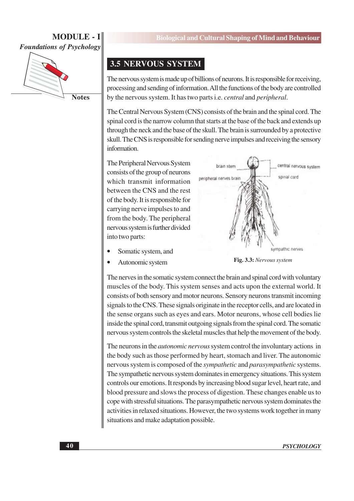

**Notes** 

## **3.5 NERVOUS SYSTEM**

The nervous system is made up of billions of neurons. It is responsible for receiving, processing and sending of information. All the functions of the body are controlled by the nervous system. It has two parts *i.e. central* and *peripheral*.

The Central Nervous System (CNS) consists of the brain and the spinal cord. The spinal cord is the narrow column that starts at the base of the back and extends up through the neck and the base of the skull. The brain is surrounded by a protective skull. The CNS is responsible for sending nerve impulses and receiving the sensory information.

The Peripheral Nervous System consists of the group of neurons which transmit information between the CNS and the rest of the body. It is responsible for carrying nerve impulses to and from the body. The peripheral nervous system is further divided into two parts:



- Somatic system, and
- Autonomic system



The nerves in the somatic system connect the brain and spinal cord with voluntary muscles of the body. This system senses and acts upon the external world. It consists of both sensory and motor neurons. Sensory neurons transmit incoming signals to the CNS. These signals originate in the receptor cells, and are located in the sense organs such as eyes and ears. Motor neurons, whose cell bodies lie inside the spinal cord, transmit outgoing signals from the spinal cord. The somatic nervous system controls the skeletal muscles that help the movement of the body.

The neurons in the *autonomic nervous* system control the involuntary actions in the body such as those performed by heart, stomach and liver. The autonomic nervous system is composed of the *sympathetic* and *parasympathetic* systems. The sympathetic nervous system dominates in emergency situations. This system controls our emotions. It responds by increasing blood sugar level, heart rate, and blood pressure and slows the process of digestion. These changes enable us to cope with stressful situations. The parasympathetic nervous system dominates the activities in relaxed situations. However, the two systems work together in many situations and make adaptation possible.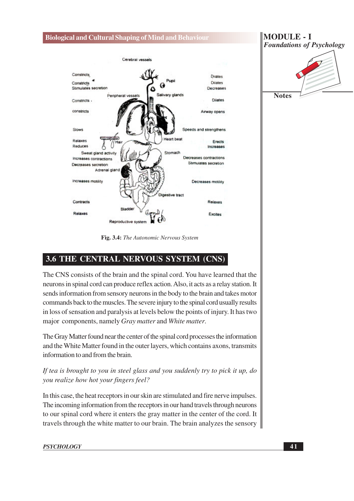

Fig. 3.4: The Autonomic Nervous System

## 3.6 THE CENTRAL NERVOUS SYSTEM (CNS)

The CNS consists of the brain and the spinal cord. You have learned that the neurons in spinal cord can produce reflex action. Also, it acts as a relay station. It sends information from sensory neurons in the body to the brain and takes motor commands back to the muscles. The severe injury to the spinal cord usually results in loss of sensation and paralysis at levels below the points of injury. It has two major components, namely Gray matter and White matter.

The Gray Matter found near the center of the spinal cord processes the information and the White Matter found in the outer layers, which contains axons, transmits information to and from the brain.

If tea is brought to you in steel glass and you suddenly try to pick it up, do you realize how hot your fingers feel?

In this case, the heat receptors in our skin are stimulated and fire nerve impulses. The incoming information from the receptors in our hand travels through neurons to our spinal cord where it enters the gray matter in the center of the cord. It travels through the white matter to our brain. The brain analyzes the sensory



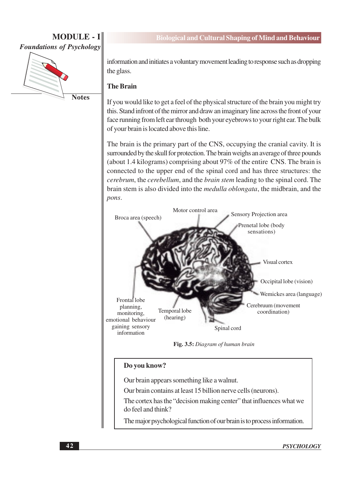

**Notes** 

information and initiates a voluntary movement leading to response such as dropping the glass.

#### **The Brain**

If you would like to get a feel of the physical structure of the brain you might try this. Stand infront of the mirror and draw an imaginary line across the front of your face running from left ear through both your eyebrows to your right ear. The bulk of your brain is located above this line.

The brain is the primary part of the CNS, occupying the cranial cavity. It is surrounded by the skull for protection. The brain weighs an average of three pounds (about 1.4 kilograms) comprising about 97% of the entire CNS. The brain is connected to the upper end of the spinal cord and has three structures: the *cerebrum*, the *cerebellum*, and the *brain stem* leading to the spinal cord. The brain stem is also divided into the *medulla oblongata*, the midbrain, and the pons.



Fig. 3.5: Diagram of human brain

#### Do you know?

Our brain appears something like a walnut.

Our brain contains at least 15 billion nerve cells (neurons).

The cortex has the "decision making center" that influences what we do feel and think?

The major psychological function of our brain is to process information.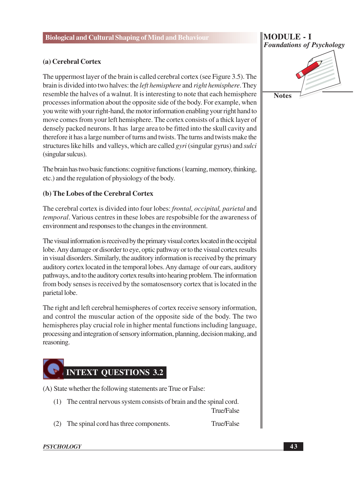#### (a) Cerebral Cortex

The uppermost layer of the brain is called cerebral cortex (see Figure 3.5). The brain is divided into two halves: the *left hemisphere* and *right hemisphere*. They resemble the halves of a walnut. It is interesting to note that each hemisphere processes information about the opposite side of the body. For example, when you write with your right-hand, the motor information enabling your right hand to move comes from your left hemisphere. The cortex consists of a thick layer of densely packed neurons. It has large area to be fitted into the skull cavity and therefore it has a large number of turns and twists. The turns and twists make the structures like hills and valleys, which are called gyri (singular gyrus) and sulci (singular sulcus).

The brain has two basic functions: cognitive functions (learning, memory, thinking, etc.) and the regulation of physiology of the body.

#### (b) The Lobes of the Cerebral Cortex

The cerebral cortex is divided into four lobes: *frontal, occipital, parietal* and *temporal.* Various centres in these lobes are respobsible for the awareness of environment and responses to the changes in the environment.

The visual information is received by the primary visual cortex located in the occipital lobe. Any damage or disorder to eye, optic pathway or to the visual cortex results in visual disorders. Similarly, the auditory information is received by the primary auditory cortex located in the temporal lobes. Any damage of our ears, auditory pathways, and to the auditory cortex results into hearing problem. The information from body senses is received by the somatosensory cortex that is located in the parietal lobe.

The right and left cerebral hemispheres of cortex receive sensory information, and control the muscular action of the opposite side of the body. The two hemispheres play crucial role in higher mental functions including language. processing and integration of sensory information, planning, decision making, and reasoning.

## **INTEXT QUESTIONS 3.2**

(A) State whether the following statements are True or False:

(1) The central nervous system consists of brain and the spinal cord.

**True/False** 

(2) The spinal cord has three components.

**True/False** 

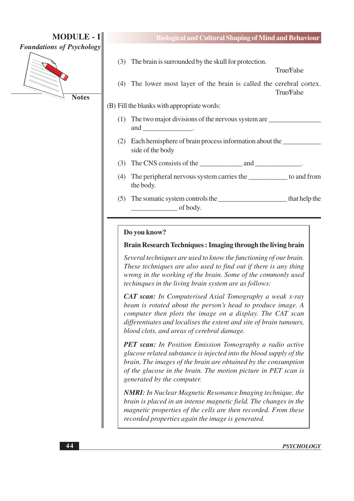

**Notes** 

True/False

- (3) The brain is surrounded by the skull for protection.
- (4) The lower most layer of the brain is called the cerebral cortex. True/False

#### (B) Fill the blanks with appropriate words:

- (1) The two major divisions of the nervous system are and
- (2) Each hemisphere of brain process information about the side of the body
- (3) The CNS consists of the and .
- (4) The peripheral nervous system carries the \_\_\_\_\_\_\_\_\_\_\_\_\_ to and from the body.
- (5) The somatic system controls the that help the of body.

#### Do you know?

#### Brain Research Techniques: Imaging through the living brain

Several techniques are used to know the functioning of our brain. These techniques are also used to find out if there is any thing wrong in the working of the brain. Some of the commonly used techingues in the living brain system are as follows:

**CAT scan:** In Computerised Axial Tomography a weak x-ray beam is rotated about the person's head to produce image. A computer then plots the image on a display. The CAT scan differentiates and localises the extent and site of brain tumours, blood clots, and areas of cerebral damage.

**PET scan:** In Position Emission Tomography a radio active glucose related substance is injected into the blood supply of the brain. The images of the brain are obtained by the consumption of the glucose in the brain. The motion picture in PET scan is generated by the computer.

**NMRI:** In Nuclear Magnetic Resonance Imaging technique, the brain is placed in an intense magnetic field. The changes in the magnetic properties of the cells are then recorded. From these recorded properties again the image is generated.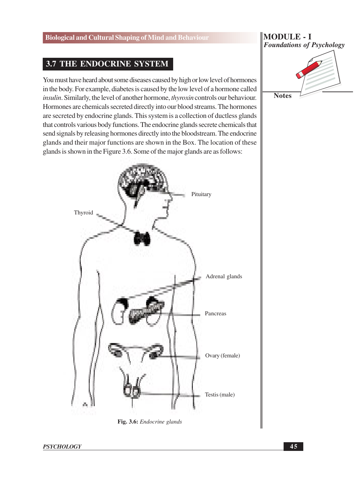## **3.7 THE ENDOCRINE SYSTEM**

You must have heard about some diseases caused by high or low level of hormones in the body. For example, diabetes is caused by the low level of a hormone called *insulin.* Similarly, the level of another hormone, *thyroxin* controls our behaviour. Hormones are chemicals secreted directly into our blood streams. The hormones are secreted by endocrine glands. This system is a collection of ductless glands that controls various body functions. The endocrine glands secrete chemicals that send signals by releasing hormones directly into the bloodstream. The endocrine glands and their major functions are shown in the Box. The location of these glands is shown in the Figure 3.6. Some of the major glands are as follows:



#### Fig. 3.6: Endocrine glands

**PSYCHOLOGY** 

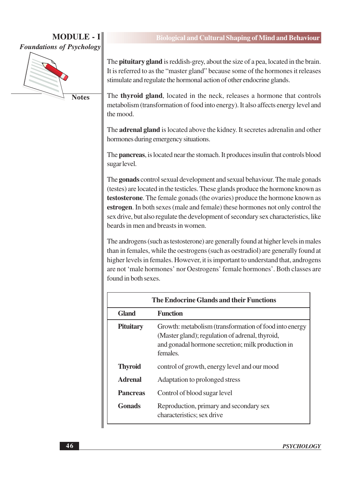

**Notes** 

#### **Biological and Cultural Shaping of Mind and Behaviour**

The **pituitary gland** is reddish-grey, about the size of a pea, located in the brain. It is referred to as the "master gland" because some of the hormones it releases stimulate and regulate the hormonal action of other endocrine glands.

The thyroid gland, located in the neck, releases a hormone that controls metabolism (transformation of food into energy). It also affects energy level and the mood.

The **adrenal gland** is located above the kidney. It secretes adrenal in and other hormones during emergency situations.

The **pancreas**, is located near the stomach. It produces insulin that controls blood sugar level.

The gonads control sexual development and sexual behaviour. The male gonads (testes) are located in the testicles. These glands produce the hormone known as testosterone. The female gonads (the ovaries) produce the hormone known as estrogen. In both sexes (male and female) these hormones not only control the sex drive, but also regulate the development of secondary sex characteristics, like beards in men and breasts in women

The androgens (such as testosterone) are generally found at higher levels in males than in females, while the oestrogens (such as oestradiol) are generally found at higher levels in females. However, it is important to understand that, androgens are not 'male hormones' nor Oestrogens' female hormones'. Both classes are found in both sexes.

| The Endocrine Glands and their Functions |                                                                                                                                                                            |  |  |  |
|------------------------------------------|----------------------------------------------------------------------------------------------------------------------------------------------------------------------------|--|--|--|
| <b>Gland</b>                             | <b>Function</b>                                                                                                                                                            |  |  |  |
| <b>Pituitary</b>                         | Growth: metabolism (transformation of food into energy<br>(Master gland); regulation of adrenal, thyroid,<br>and gonadal hormone secretion; milk production in<br>females. |  |  |  |
| <b>Thyroid</b>                           | control of growth, energy level and our mood                                                                                                                               |  |  |  |
| <b>Adrenal</b>                           | Adaptation to prolonged stress                                                                                                                                             |  |  |  |
| <b>Pancreas</b>                          | Control of blood sugar level                                                                                                                                               |  |  |  |
| <b>Gonads</b>                            | Reproduction, primary and secondary sex<br>characteristics; sex drive                                                                                                      |  |  |  |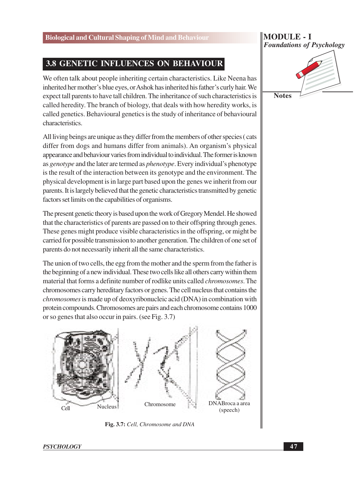## 3.8 GENETIC INFLUENCES ON BEHAVIOUR

We often talk about people inheriting certain characteristics. Like Neena has inherited her mother's blue eyes, or Ashok has inherited his father's curly hair. We expect tall parents to have tall children. The inheritance of such characteristics is called heredity. The branch of biology, that deals with how heredity works, is called genetics. Behavioural genetics is the study of inheritance of behavioural characteristics.

All living beings are unique as they differ from the members of other species (cats differ from dogs and humans differ from animals). An organism's physical appearance and behaviour varies from individual to individual. The former is known as *genotype* and the later are termed as *phenotype*. Every individual's phenotype is the result of the interaction between its genotype and the environment. The physical development is in large part based upon the genes we inherit from our parents. It is largely believed that the genetic characteristics transmitted by genetic factors set limits on the capabilities of organisms.

The present genetic theory is based upon the work of Gregory Mendel. He showed that the characteristics of parents are passed on to their offspring through genes. These genes might produce visible characteristics in the offspring, or might be carried for possible transmission to another generation. The children of one set of parents do not necessarily inherit all the same characteristics.

The union of two cells, the egg from the mother and the sperm from the father is the beginning of a new individual. These two cells like all others carry within them material that forms a definite number of rodlike units called *chromosomes*. The chromosomes carry hereditary factors or genes. The cell nucleus that contains the *chromosomes* is made up of deoxyribonucleic acid (DNA) in combination with protein compounds. Chromosomes are pairs and each chromosome contains 1000 or so genes that also occur in pairs. (see Fig. 3.7)



Fig. 3.7: Cell, Chromosome and DNA

**PSYCHOLOGY** 

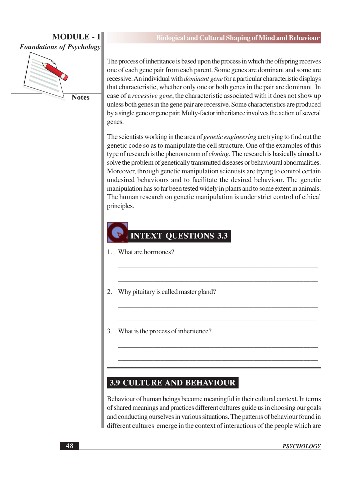

**Notes** 

The process of inheritance is based upon the process in which the offspring receives one of each gene pair from each parent. Some genes are dominant and some are recessive. An individual with *dominant gene* for a particular characteristic displays that characteristic, whether only one or both genes in the pair are dominant. In case of a *recessive gene*, the characteristic associated with it does not show up unless both genes in the gene pair are recessive. Some characteristics are produced by a single gene or gene pair. Multy-factor inheritance involves the action of several genes.

The scientists working in the area of *genetic engineering* are trying to find out the genetic code so as to manipulate the cell structure. One of the examples of this type of research is the phenomenon of *cloning*. The research is basically aimed to solve the problem of genetically transmitted diseases or behavioural abnormalities. Moreover, through genetic manipulation scientists are trying to control certain undesired behaviours and to facilitate the desired behaviour. The genetic manipulation has so far been tested widely in plants and to some extent in animals. The human research on genetic manipulation is under strict control of ethical principles.

## **INTEXT QUESTIONS 3.3**

- 1. What are hormones?
- $2.$ Why pituitary is called master gland?
- 3. What is the process of inheritence?

### **3.9 CULTURE AND BEHAVIOUR**

Behaviour of human beings become meaningful in their cultural context. In terms of shared meanings and practices different cultures guide us in choosing our goals and conducting ourselves in various situations. The patterns of behaviour found in different cultures emerge in the context of interactions of the people which are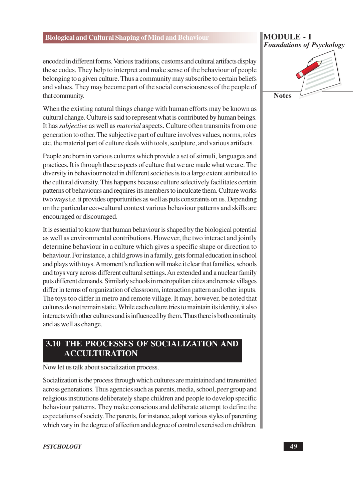#### encoded in different forms. Various traditions, customs and cultural artifacts display these codes. They help to interpret and make sense of the behaviour of people belonging to a given culture. Thus a community may subscribe to certain beliefs and values. They may become part of the social consciousness of the people of that community.

When the existing natural things change with human efforts may be known as cultural change. Culture is said to represent what is contributed by human beings. It has *subjective* as well as *material* aspects. Culture often transmits from one generation to other. The subjective part of culture involves values, norms, roles etc. the material part of culture deals with tools, sculpture, and various artifacts.

People are born in various cultures which provide a set of stimuli, languages and practices. It is through these aspects of culture that we are made what we are. The diversity in behaviour noted in different societies is to a large extent attributed to the cultural diversity. This happens because culture selectively facilitates certain patterns of behaviours and requires its members to inculcate them. Culture works two ways *i.e.* it provides opportunities as well as puts constraints on us. Depending on the particular eco-cultural context various behaviour patterns and skills are encouraged or discouraged.

It is essential to know that human behaviour is shaped by the biological potential as well as environmental contributions. However, the two interact and jointly determine behaviour in a culture which gives a specific shape or direction to behaviour. For instance, a child grows in a family, gets formal education in school and plays with toys. A moment's reflection will make it clear that families, schools and toys vary across different cultural settings. An extended and a nuclear family puts different demands. Similarly schools in metropolitan cities and remote villages differ in terms of organization of classroom, interaction pattern and other inputs. The toys too differ in metro and remote village. It may, however, be noted that cultures do not remain static. While each culture tries to maintain its identity, it also interacts with other cultures and is influenced by them. Thus there is both continuity and as well as change.

## 3.10 THE PROCESSES OF SOCIALIZATION AND **ACCULTURATION**

Now let us talk about socialization process.

Socialization is the process through which cultures are maintained and transmitted across generations. Thus agencies such as parents, media, school, peer group and religious institutions deliberately shape children and people to develop specific behaviour patterns. They make conscious and deliberate attempt to define the expectations of society. The parents, for instance, adopt various styles of parenting which vary in the degree of affection and degree of control exercised on children.

#### **PSYCHOLOGY**

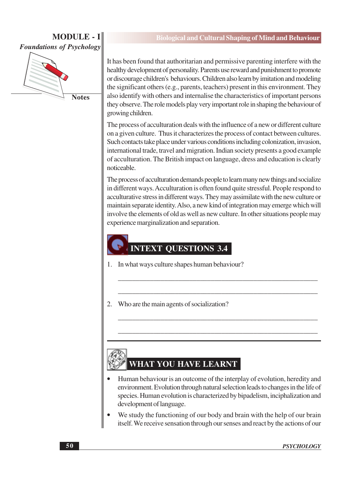

**Notes** 

It has been found that authoritarian and permissive parenting interfere with the healthy development of personality. Parents use reward and punishment to promote or discourage children's behaviours. Children also learn by imitation and modeling the significant others (e.g., parents, teachers) present in this environment. They also identify with others and internalise the characteristics of important persons they observe. The role models play very important role in shaping the behaviour of growing children.

The process of acculturation deals with the influence of a new or different culture on a given culture. Thus it characterizes the process of contact between cultures. Such contacts take place under various conditions including colonization, invasion, international trade, travel and migration. Indian society presents a good example of acculturation. The British impact on language, dress and education is clearly noticeable.

The process of acculturation demands people to learn many new things and socialize in different ways. Acculturation is often found quite stressful. People respond to acculturative stress in different ways. They may assimilate with the new culture or maintain separate identity. Also, a new kind of integration may emerge which will involve the elements of old as well as new culture. In other situations people may experience marginalization and separation.

## **INTEXT QUESTIONS 3.4**

- 1. In what ways culture shapes human behaviour?
- 2. Who are the main agents of socialization?

## **WHAT YOU HAVE LEARNT**

- Human behaviour is an outcome of the interplay of evolution, heredity and environment. Evolution through natural selection leads to changes in the life of species. Human evolution is characterized by bipadelism, inciphalization and development of language.
- We study the functioning of our body and brain with the help of our brain itself. We receive sensation through our senses and react by the actions of our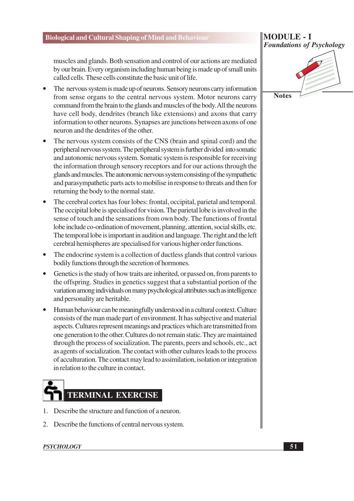muscles and glands. Both sensation and control of our actions are mediated by our brain. Every organism including human being is made up of small units called cells. These cells constitute the basic unit of life.

- The nervous system is made up of neurons. Sensory neurons carry information from sense organs to the central nervous system. Motor neurons carry command from the brain to the glands and muscles of the body. All the neurons have cell body, dendrites (branch like extensions) and axons that carry information to other neurons. Synapses are junctions between axons of one neuron and the dendrites of the other.
- The nervous system consists of the CNS (brain and spinal cord) and the peripheral nervous system. The peripheral system is further divided into somatic and autonomic nervous system. Somatic system is responsible for receiving the information through sensory receptors and for our actions through the glands and muscles. The autonomic nervous system consisting of the sympathetic and parasympathetic parts acts to mobilise in response to threats and then for returning the body to the normal state.
- The cerebral cortex has four lobes: frontal, occipital, parietal and temporal. The occipital lobe is specialised for vision. The parietal lobe is involved in the sense of touch and the sensations from own body. The functions of frontal lobe include co-ordination of movement, planning, attention, social skills, etc. The temporal lobe is important in audition and language. The right and the left cerebral hemispheres are specialised for various higher order functions.
- The endocrine system is a collection of ductless glands that control various bodily functions through the secretion of hormones.
- Genetics is the study of how traits are inherited, or passed on, from parents to the offspring. Studies in genetics suggest that a substantial portion of the variation among individuals on many psychological attributes such as intelligence and personality are heritable.
- Human behaviour can be meaningfully understood in a cultural context. Culture consists of the man made part of environment. It has subjective and material aspects. Cultures represent meanings and practices which are transmitted from one generation to the other. Cultures do not remain static. They are maintained through the process of socialization. The parents, peers and schools, etc., act as agents of socialization. The contact with other cultures leads to the process of acculturation. The contact may lead to assimilation, isolation or integration in relation to the culture in contact.

# **TERMINAL EXERCISE**

- 1. Describe the structure and function of a neuron.
- 2. Describe the functions of central nervous system.

#### **MODULE - I Foundations of Psychology**



**Notes** 

**PSYCHOLOGY**